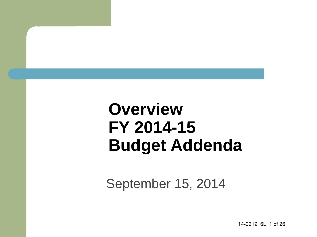## **Overview FY 2014-15 Budget Addenda**

September 15, 2014

14-0219 6L 1 of 26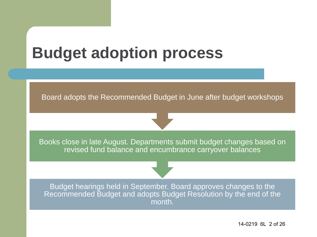## **Budget adoption process**

Board adopts the Recommended Budget in June after budget workshops



Books close in late August. Departments submit budget changes based on revised fund balance and encumbrance carryover balances

Budget hearings held in September. Board approves changes to the Recommended Budget and adopts Budget Resolution by the end of the month.

14-0219 6L 2 of 26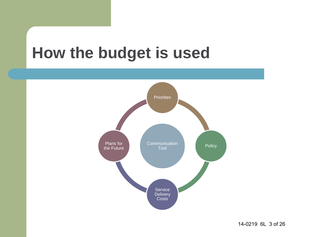#### **How the budget is used**

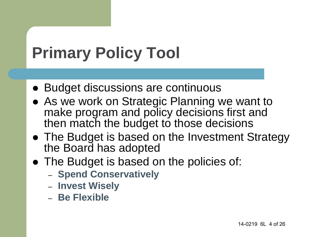# **Primary Policy Tool**

- Budget discussions are continuous
- As we work on Strategic Planning we want to make program and policy decisions first and then match the budget to those decisions
- The Budget is based on the Investment Strategy the Board has adopted
- The Budget is based on the policies of:
	- **Spend Conservatively**
	- **Invest Wisely**
	- **Be Flexible**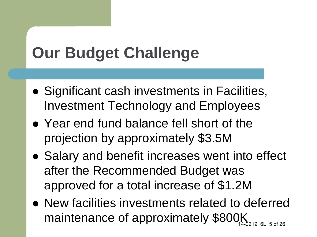# **Our Budget Challenge**

- Significant cash investments in Facilities, Investment Technology and Employees
- Year end fund balance fell short of the projection by approximately \$3.5M
- Salary and benefit increases went into effect after the Recommended Budget was approved for a total increase of \$1.2M
- New facilities investments related to deferred maintenance of approximately \$800K 14-0219 6L 5 of 26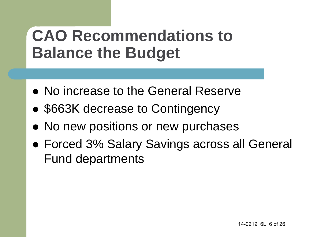#### **CAO Recommendations to Balance the Budget**

- No increase to the General Reserve
- \$663K decrease to Contingency
- No new positions or new purchases
- Forced 3% Salary Savings across all General Fund departments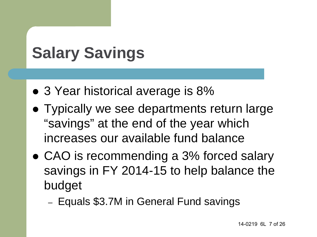# **Salary Savings**

- 3 Year historical average is 8%
- Typically we see departments return large "savings" at the end of the year which increases our available fund balance
- CAO is recommending a 3% forced salary savings in FY 2014-15 to help balance the budget
	- Equals \$3.7M in General Fund savings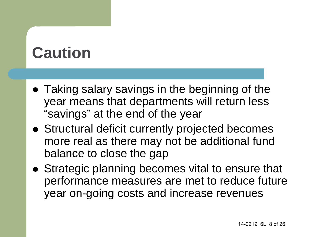## **Caution**

- Taking salary savings in the beginning of the year means that departments will return less "savings" at the end of the year
- Structural deficit currently projected becomes more real as there may not be additional fund balance to close the gap
- Strategic planning becomes vital to ensure that performance measures are met to reduce future year on-going costs and increase revenues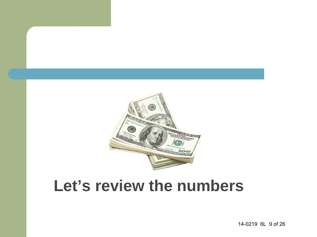

#### **Let's review the numbers**

14-0219 6L 9 of 26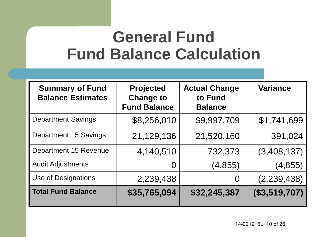#### **General Fund Fund Balance Calculation**

| <b>Summary of Fund</b><br><b>Balance Estimates</b> | <b>Projected</b><br><b>Change to</b><br><b>Fund Balance</b> | <b>Actual Change</b><br>to Fund<br><b>Balance</b> | <b>Variance</b> |
|----------------------------------------------------|-------------------------------------------------------------|---------------------------------------------------|-----------------|
| <b>Department Savings</b>                          | \$8,256,010                                                 | \$9,997,709                                       | \$1,741,699     |
| <b>Department 15 Savings</b>                       | 21,129,136                                                  | 21,520,160                                        | 391,024         |
| Department 15 Revenue                              | 4,140,510                                                   | 732,373                                           | (3,408,137)     |
| <b>Audit Adjustments</b>                           | O                                                           | (4, 855)                                          | (4, 855)        |
| Use of Designations                                | 2,239,438                                                   | O                                                 | (2,239,438)     |
| <b>Total Fund Balance</b>                          | \$35,765,094                                                | \$32,245,387                                      | (\$3,519,707)   |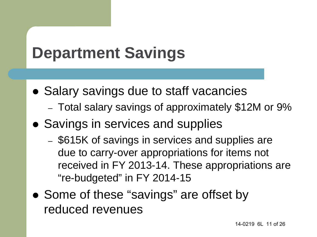# **Department Savings**

- Salary savings due to staff vacancies
	- Total salary savings of approximately \$12M or 9%
- Savings in services and supplies
	- \$615K of savings in services and supplies are due to carry-over appropriations for items not received in FY 2013-14. These appropriations are "re-budgeted" in FY 2014-15
- Some of these "savings" are offset by reduced revenues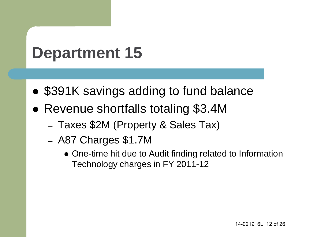## **Department 15**

- \$391K savings adding to fund balance
- Revenue shortfalls totaling \$3.4M
	- Taxes \$2M (Property & Sales Tax)
	- A87 Charges \$1.7M
		- One-time hit due to Audit finding related to Information Technology charges in FY 2011-12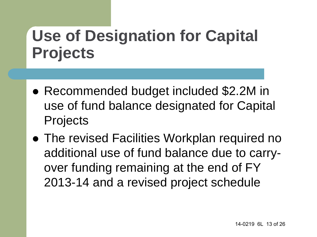## **Use of Designation for Capital Projects**

- Recommended budget included \$2.2M in use of fund balance designated for Capital Projects
- The revised Facilities Workplan required no additional use of fund balance due to carryover funding remaining at the end of FY 2013-14 and a revised project schedule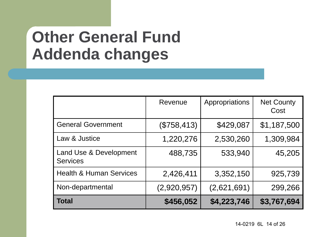#### **Other General Fund Addenda changes**

|                                           | Revenue     | Appropriations | <b>Net County</b><br>Cost |
|-------------------------------------------|-------------|----------------|---------------------------|
| <b>General Government</b>                 | (\$758,413) | \$429,087      | \$1,187,500               |
| Law & Justice                             | 1,220,276   | 2,530,260      | 1,309,984                 |
| Land Use & Development<br><b>Services</b> | 488,735     | 533,940        | 45,205                    |
| <b>Health &amp; Human Services</b>        | 2,426,411   | 3,352,150      | 925,739                   |
| Non-departmental                          | (2,920,957) | (2,621,691)    | 299,266                   |
| Total                                     | \$456,052   | \$4,223,746    | \$3,767,694               |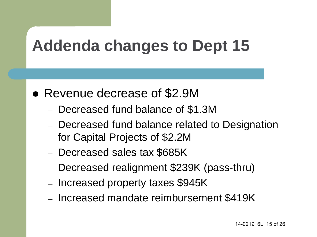## **Addenda changes to Dept 15**

- Revenue decrease of \$2.9M
	- Decreased fund balance of \$1.3M
	- Decreased fund balance related to Designation for Capital Projects of \$2.2M
	- Decreased sales tax \$685K
	- Decreased realignment \$239K (pass-thru)
	- Increased property taxes \$945K
	- Increased mandate reimbursement \$419K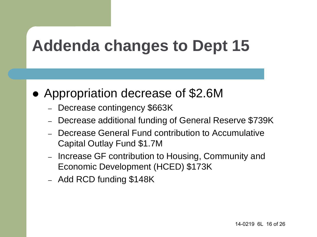## **Addenda changes to Dept 15**

- Appropriation decrease of \$2.6M
	- Decrease contingency \$663K
	- Decrease additional funding of General Reserve \$739K
	- Decrease General Fund contribution to Accumulative Capital Outlay Fund \$1.7M
	- Increase GF contribution to Housing, Community and Economic Development (HCED) \$173K
	- Add RCD funding \$148K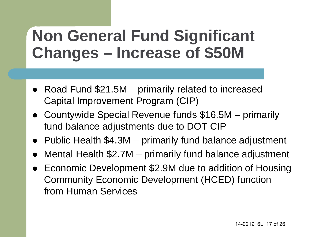#### **Non General Fund Significant Changes – Increase of \$50M**

- Road Fund \$21.5M primarily related to increased Capital Improvement Program (CIP)
- Countywide Special Revenue funds \$16.5M primarily fund balance adjustments due to DOT CIP
- Public Health \$4.3M primarily fund balance adjustment
- Mental Health \$2.7M primarily fund balance adjustment
- Economic Development \$2.9M due to addition of Housing Community Economic Development (HCED) function from Human Services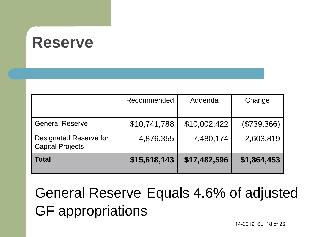#### **Reserve**

|                                                          | Recommended  | Addenda      | Change      |
|----------------------------------------------------------|--------------|--------------|-------------|
| <b>General Reserve</b>                                   | \$10,741,788 | \$10,002,422 | (\$739,366) |
| <b>Designated Reserve for</b><br><b>Capital Projects</b> | 4,876,355    | 7,480,174    | 2,603,819   |
| <b>Total</b>                                             | \$15,618,143 | \$17,482,596 | \$1,864,453 |

General Reserve Equals 4.6% of adjusted GF appropriations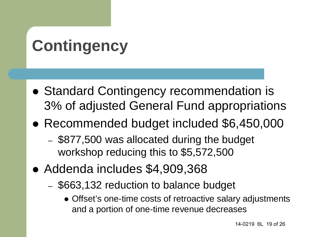# **Contingency**

- Standard Contingency recommendation is 3% of adjusted General Fund appropriations
- Recommended budget included \$6,450,000
	- \$877,500 was allocated during the budget workshop reducing this to \$5,572,500
- Addenda includes \$4,909,368
	- \$663,132 reduction to balance budget
		- Offset's one-time costs of retroactive salary adjustments and a portion of one-time revenue decreases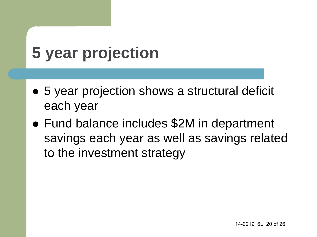# **5 year projection**

- 5 year projection shows a structural deficit each year
- Fund balance includes \$2M in department savings each year as well as savings related to the investment strategy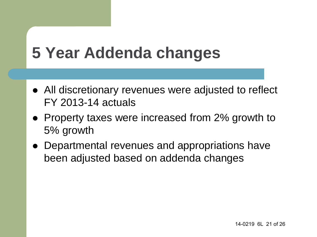## **5 Year Addenda changes**

- All discretionary revenues were adjusted to reflect FY 2013-14 actuals
- Property taxes were increased from 2% growth to 5% growth
- Departmental revenues and appropriations have been adjusted based on addenda changes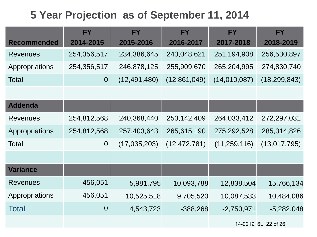#### **5 Year Projection as of September 11, 2014**

|                    | <b>FY</b>      | <b>FY</b>      | <b>FY</b>      | <b>FY</b>      | <b>FY</b>           |
|--------------------|----------------|----------------|----------------|----------------|---------------------|
| <b>Recommended</b> | 2014-2015      | 2015-2016      | 2016-2017      | 2017-2018      | 2018-2019           |
| <b>Revenues</b>    | 254,356,517    | 234,386,645    | 243,048,621    | 251,194,908    | 256,530,897         |
| Appropriations     | 254,356,517    | 246,878,125    | 255,909,670    | 265,204,995    | 274,830,740         |
| <b>Total</b>       | $\overline{0}$ | (12, 491, 480) | (12,861,049)   | (14,010,087)   | (18, 299, 843)      |
|                    |                |                |                |                |                     |
| <b>Addenda</b>     |                |                |                |                |                     |
| <b>Revenues</b>    | 254,812,568    | 240,368,440    | 253, 142, 409  | 264,033,412    | 272,297,031         |
| Appropriations     | 254,812,568    | 257,403,643    | 265,615,190    | 275,292,528    | 285,314,826         |
| Total              | $\overline{0}$ | (17, 035, 203) | (12, 472, 781) | (11, 259, 116) | (13,017,795)        |
|                    |                |                |                |                |                     |
| <b>Variance</b>    |                |                |                |                |                     |
| <b>Revenues</b>    | 456,051        | 5,981,795      | 10,093,788     | 12,838,504     | 15,766,134          |
| Appropriations     | 456,051        | 10,525,518     | 9,705,520      | 10,087,533     | 10,484,086          |
| <b>Total</b>       | $\overline{0}$ | 4,543,723      | $-388,268$     | $-2,750,971$   | $-5,282,048$        |
|                    |                |                |                |                | 14-0219 6L 22 of 26 |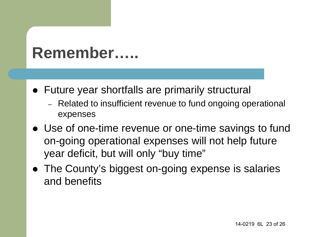#### **Remember…..**

- Future year shortfalls are primarily structural
	- Related to insufficient revenue to fund ongoing operational expenses
- Use of one-time revenue or one-time savings to fund on-going operational expenses will not help future year deficit, but will only "buy time"
- The County's biggest on-going expense is salaries and benefits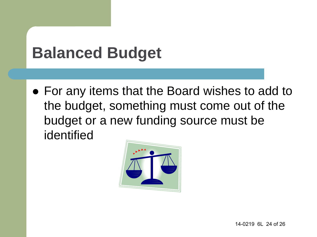## **Balanced Budget**

 For any items that the Board wishes to add to the budget, something must come out of the budget or a new funding source must be identified

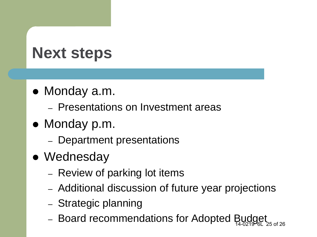# **Next steps**

- Monday a.m.
	- Presentations on Investment areas
- Monday p.m.
	- Department presentations
- Wednesday
	- Review of parking lot items
	- Additional discussion of future year projections
	- Strategic planning
	- $-$  Board recommendations for Adopted Bug 14-0219 6L 25 of 26